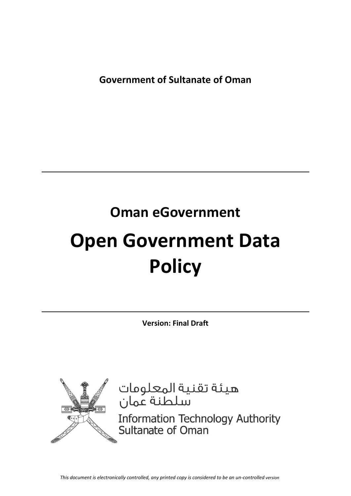**Government of Sultanate of Oman** 

# **Oman eGovernment**

# **Open Government Data Policy**

**Version: Final Draft**



هيئة تقنية المعلومات<br>سلطنة عمان

Information Technology Authority<br>Sultanate of Oman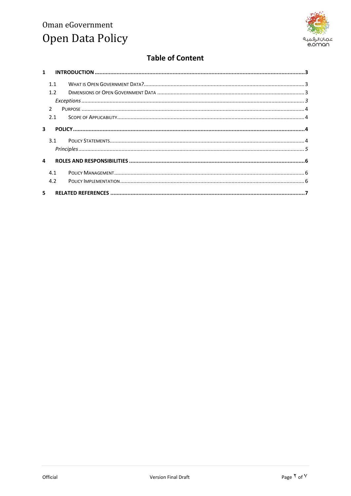

# **Table of Content**

| $\mathbf{1}$ |               |  |  |
|--------------|---------------|--|--|
|              | 1.1           |  |  |
|              | 1.2           |  |  |
|              |               |  |  |
|              | $\mathcal{P}$ |  |  |
|              | 2.1           |  |  |
| 3            |               |  |  |
|              | 3.1           |  |  |
|              |               |  |  |
| 4            |               |  |  |
|              | 4.1           |  |  |
|              | 4.2           |  |  |
| 5.           |               |  |  |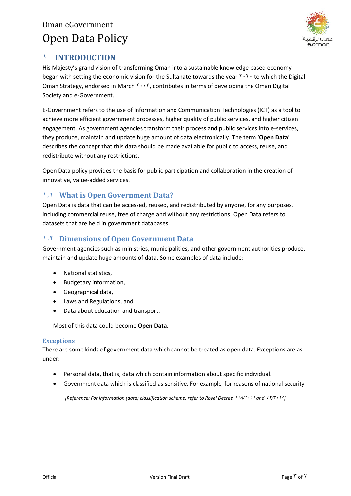

## <span id="page-2-0"></span>**1 INTRODUCTION**

His Majesty's grand vision of transforming Oman into a sustainable knowledge based economy began with setting the economic vision for the Sultanate towards the year  $\gamma \cdot \gamma$  to which the Digital Oman Strategy, endorsed in March  $Y \cdot Y$ , contributes in terms of developing the Oman Digital Society and e-Government.

E-Government refers to the use of Information and Communication Technologies (ICT) as a tool to achieve more efficient government processes, higher quality of public services, and higher citizen engagement. As government agencies transform their process and public services into e-services, they produce, maintain and update huge amount of data electronically. The term '**Open Data**' describes the concept that this data should be made available for public to access, reuse, and redistribute without any restrictions.

Open Data policy provides the basis for public participation and collaboration in the creation of innovative, value-added services.

### <span id="page-2-1"></span>**1.1 What is Open Government Data?**

Open Data is data that can be accessed, reused, and redistributed by anyone, for any purposes, including commercial reuse, free of charge and without any restrictions. Open Data refers to datasets that are held in government databases.

### <span id="page-2-2"></span>**1.1 Dimensions of Open Government Data**

Government agencies such as ministries, municipalities, and other government authorities produce, maintain and update huge amounts of data. Some examples of data include:

- National statistics,
- Budgetary information,
- Geographical data,
- Laws and Regulations, and
- Data about education and transport.

Most of this data could become **Open Data**.

#### <span id="page-2-3"></span>**Exceptions**

There are some kinds of government data which cannot be treated as open data. Exceptions are as under:

- Personal data, that is, data which contain information about specific individual.
- Government data which is classified as sensitive. For example, for reasons of national security.

*[Reference: For Information (data) classification scheme, refer to Royal Decree 114/T · 11 and*  $57/7 \cdot 10$ *]*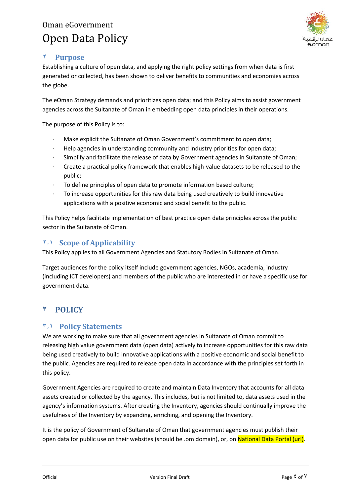

## <span id="page-3-0"></span>**1 Purpose**

Establishing a culture of open data, and applying the right policy settings from when data is first generated or collected, has been shown to deliver benefits to communities and economies across the globe.

The eOman Strategy demands and prioritizes open data; and this Policy aims to assist government agencies across the Sultanate of Oman in embedding open data principles in their operations.

The purpose of this Policy is to:

- · Make explicit the Sultanate of Oman Government's commitment to open data;
- · Help agencies in understanding community and industry priorities for open data;
- · Simplify and facilitate the release of data by Government agencies in Sultanate of Oman;
- · Create a practical policy framework that enables high-value datasets to be released to the public;
- · To define principles of open data to promote information based culture;
- To increase opportunities for this raw data being used creatively to build innovative applications with a positive economic and social benefit to the public.

This Policy helps facilitate implementation of best practice open data principles across the public sector in the Sultanate of Oman.

### <span id="page-3-1"></span>**1.1 Scope of Applicability**

This Policy applies to all Government Agencies and Statutory Bodies in Sultanate of Oman.

Target audiences for the policy itself include government agencies, NGOs, academia, industry (including ICT developers) and members of the public who are interested in or have a specific use for government data.

## <span id="page-3-2"></span>**3 POLICY**

#### <span id="page-3-3"></span>**3.1 Policy Statements**

We are working to make sure that all government agencies in Sultanate of Oman commit to releasing high value government data (open data) actively to increase opportunities for this raw data being used creatively to build innovative applications with a positive economic and social benefit to the public. Agencies are required to release open data in accordance with the principles set forth in this policy.

Government Agencies are required to create and maintain Data Inventory that accounts for all data assets created or collected by the agency. This includes, but is not limited to, data assets used in the agency's information systems. After creating the Inventory, agencies should continually improve the usefulness of the Inventory by expanding, enriching, and opening the Inventory.

It is the policy of Government of Sultanate of Oman that government agencies must publish their open data for public use on their websites (should be .om domain), or, on National Data Portal (url).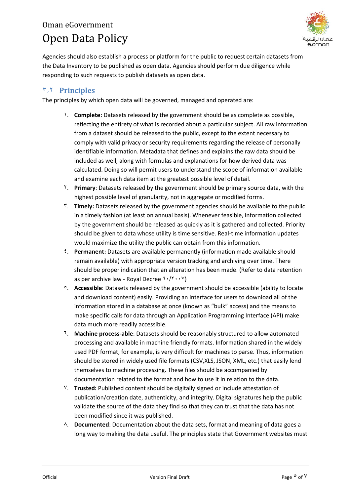

Agencies should also establish a process or platform for the public to request certain datasets from the Data Inventory to be published as open data. Agencies should perform due diligence while responding to such requests to publish datasets as open data.

## <span id="page-4-0"></span>**3.1 Principles**

The principles by which open data will be governed, managed and operated are:

- 1. **Complete:** Datasets released by the government should be as complete as possible, reflecting the entirety of what is recorded about a particular subject. All raw information from a dataset should be released to the public, except to the extent necessary to comply with valid privacy or security requirements regarding the release of personally identifiable information. Metadata that defines and explains the raw data should be included as well, along with formulas and explanations for how derived data was calculated. Doing so will permit users to understand the scope of information available and examine each data item at the greatest possible level of detail.
- 2. **Primary**: Datasets released by the government should be primary source data, with the highest possible level of granularity, not in aggregate or modified forms.
- 3. **Timely:** Datasets released by the government agencies should be available to the public in a timely fashion (at least on annual basis). Whenever feasible, information collected by the government should be released as quickly as it is gathered and collected. Priority should be given to data whose utility is time sensitive. Real-time information updates would maximize the utility the public can obtain from this information.
- 5. **Permanent:** Datasets are available permanently (information made available should remain available) with appropriate version tracking and archiving over time. There should be proper indication that an alteration has been made. (Refer to data retention as per archive law - Royal Decree  $7 \cdot / 7 \cdot \cdot \cdot$
- <sup>o</sup>. **Accessible**: Datasets released by the government should be accessible (ability to locate and download content) easily. Providing an interface for users to download all of the information stored in a database at once (known as "bulk" access) and the means to make specific calls for data through an Application Programming Interface (API) make data much more readily accessible.
- 7. **Machine process-able**: Datasets should be reasonably structured to allow automated processing and available in machine friendly formats. Information shared in the widely used PDF format, for example, is very difficult for machines to parse. Thus, information should be stored in widely used file formats (CSV,XLS, JSON, XML, etc.) that easily lend themselves to machine processing. These files should be accompanied by documentation related to the format and how to use it in relation to the data.
- 7. **Trusted:** Published content should be digitally signed or include attestation of publication/creation date, authenticity, and integrity. Digital signatures help the public validate the source of the data they find so that they can trust that the data has not been modified since it was published.
- $\wedge$ . **Documented**: Documentation about the data sets, format and meaning of data goes a long way to making the data useful. The principles state that Government websites must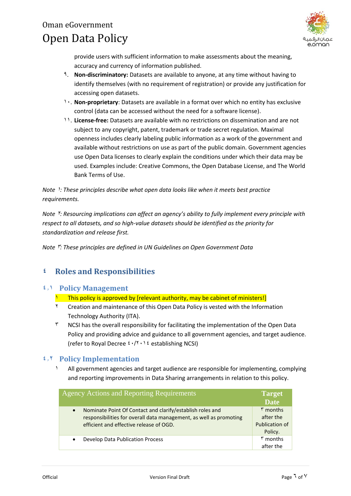

provide users with sufficient information to make assessments about the meaning, accuracy and currency of information published.

- 9. **Non-discriminatory:** Datasets are available to anyone, at any time without having to identify themselves (with no requirement of registration) or provide any justification for accessing open datasets.
- 12. **Non-proprietary**: Datasets are available in a format over which no entity has exclusive control (data can be accessed without the need for a software license).
- 11. **License-free:** Datasets are available with no restrictions on dissemination and are not subject to any copyright, patent, trademark or trade secret regulation. Maximal openness includes clearly labeling public information as a work of the government and available without restrictions on use as part of the public domain. Government agencies use Open Data licenses to clearly explain the conditions under which their data may be used. Examples include: Creative Commons, the Open Database License, and The World Bank Terms of Use.

*Note* <sup>1</sup>*: These principles describe what open data looks like when it meets best practice requirements.*

*Note* 2*: Resourcing implications can affect an agency's ability to fully implement every principle with respect to all datasets, and so high-value datasets should be identified as the priority for standardization and release first.*

*Note*  $\ddot{r}$ : These principles are defined in UN Guidelines on Open Government Data

## <span id="page-5-0"></span>**4 Roles and Responsibilities**

#### <span id="page-5-1"></span>**4.1 Policy Management**

- <sup>1</sup> This policy is approved by [relevant authority, may be cabinet of ministers!]
- 2 Creation and maintenance of this Open Data Policy is vested with the Information Technology Authority (ITA).
- $\tilde{a}$  NCSI has the overall responsibility for facilitating the implementation of the Open Data Policy and providing advice and guidance to all government agencies, and target audience. (refer to Royal Decree  $\frac{\epsilon \cdot}{\lambda}$ ,  $\frac{\epsilon \cdot}{\lambda}$  establishing NCSI)

#### <span id="page-5-2"></span>**4.1 Policy Implementation**

All government agencies and target audience are responsible for implementing, complying and reporting improvements in Data Sharing arrangements in relation to this policy.

| <b>Agency Actions and Reporting Requirements</b>                   | <b>Target</b>        |
|--------------------------------------------------------------------|----------------------|
|                                                                    | <b>Date</b>          |
| Nominate Point Of Contact and clarify/establish roles and          | $\frac{1}{2}$ months |
| $\bullet$                                                          | after the            |
| responsibilities for overall data management, as well as promoting | Publication of       |
| efficient and effective release of OGD.                            | Policy.              |
| Develop Data Publication Process                                   | $\frac{1}{2}$ months |
| $\bullet$                                                          | after the            |